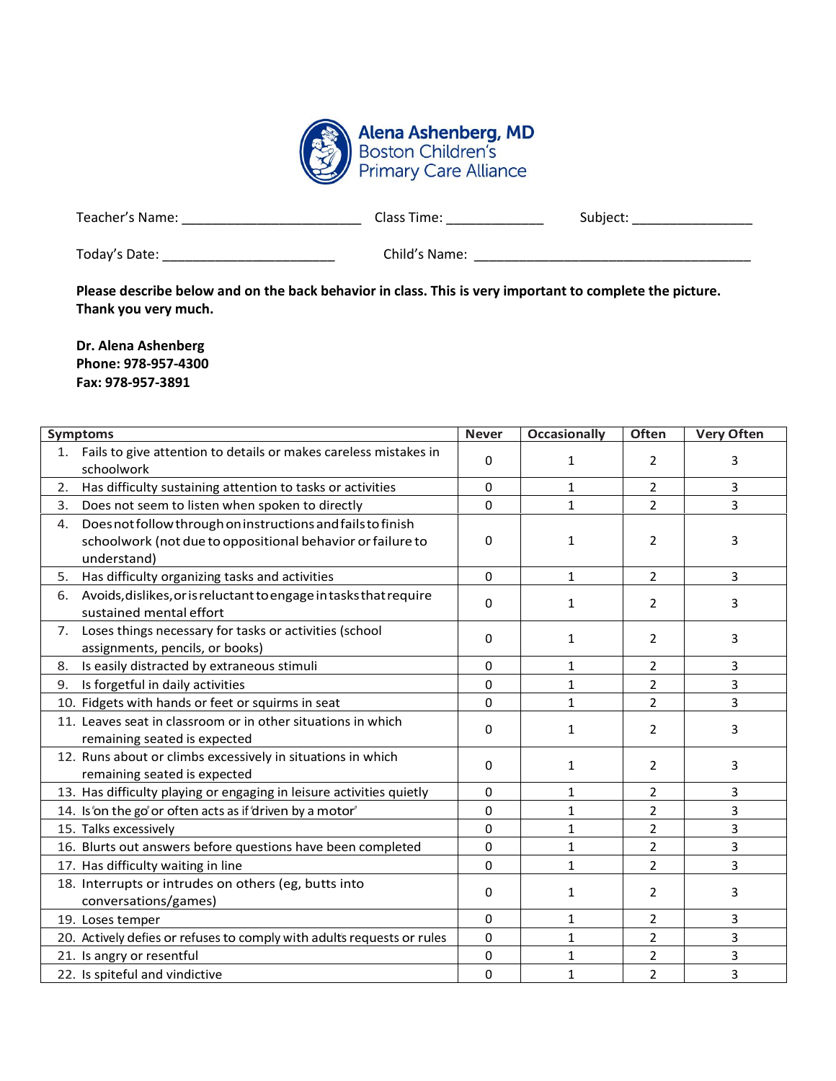

| Teacher's Name: | ممحا<br>Time:<br>-1453 | subiect: |
|-----------------|------------------------|----------|
|                 |                        |          |

| Today's Date: |
|---------------|
|---------------|

Today's Date: \_\_\_\_\_\_\_\_\_\_\_\_\_\_\_\_\_\_\_\_\_\_\_ Child's Name: \_\_\_\_\_\_\_\_\_\_\_\_\_\_\_\_\_\_\_\_\_\_\_\_\_\_\_\_\_\_\_\_\_\_\_\_\_

**Please describe below and on the back behavior in class. This is very important to complete the picture. Thank you very much.**

**Dr. Alena Ashenberg Phone: 978-957-4300 Fax: 978-957-3891**

|    | <b>Symptoms</b>                                                                                                                          | <b>Never</b> | <b>Occasionally</b> | Often          | <b>Very Often</b> |
|----|------------------------------------------------------------------------------------------------------------------------------------------|--------------|---------------------|----------------|-------------------|
|    | 1. Fails to give attention to details or makes careless mistakes in<br>schoolwork                                                        | 0            | 1                   | 2              | 3                 |
| 2. | Has difficulty sustaining attention to tasks or activities                                                                               | 0            | 1                   | 2              | 3                 |
| 3. | Does not seem to listen when spoken to directly                                                                                          | 0            | $\mathbf{1}$        | $\overline{2}$ | 3                 |
| 4. | Does not follow through on instructions and fails to finish<br>schoolwork (not due to oppositional behavior or failure to<br>understand) | 0            | 1                   | $\overline{2}$ | 3                 |
| 5. | Has difficulty organizing tasks and activities                                                                                           | 0            | 1                   | $\overline{2}$ | 3                 |
| 6. | Avoids, dislikes, or is reluctant to engage in tasks that require<br>sustained mental effort                                             | 0            | 1                   | $\overline{2}$ | 3                 |
| 7. | Loses things necessary for tasks or activities (school<br>assignments, pencils, or books)                                                | 0            | 1                   | 2              | 3                 |
| 8. | Is easily distracted by extraneous stimuli                                                                                               | 0            | 1                   | 2              | 3                 |
| 9. | Is forgetful in daily activities                                                                                                         | $\Omega$     | 1                   | $\overline{2}$ | 3                 |
|    | 10. Fidgets with hands or feet or squirms in seat                                                                                        | $\Omega$     | $\mathbf{1}$        | $\overline{2}$ | 3                 |
|    | 11. Leaves seat in classroom or in other situations in which<br>remaining seated is expected                                             | 0            | 1                   | $\overline{2}$ | 3                 |
|    | 12. Runs about or climbs excessively in situations in which<br>remaining seated is expected                                              | 0            | 1                   | 2              | 3                 |
|    | 13. Has difficulty playing or engaging in leisure activities quietly                                                                     | $\Omega$     | $\mathbf{1}$        | $\overline{2}$ | 3                 |
|    | 14. Is 'on the go' or often acts as if 'driven by a motor'                                                                               | 0            | 1                   | $\overline{2}$ | 3                 |
|    | 15. Talks excessively                                                                                                                    | $\Omega$     | $\mathbf{1}$        | $\overline{2}$ | 3                 |
|    | 16. Blurts out answers before questions have been completed                                                                              | $\Omega$     | 1                   | $\overline{2}$ | 3                 |
|    | 17. Has difficulty waiting in line                                                                                                       | $\Omega$     | $\mathbf{1}$        | $\overline{2}$ | 3                 |
|    | 18. Interrupts or intrudes on others (eg, butts into<br>conversations/games)                                                             | 0            | 1                   | $\overline{2}$ | 3                 |
|    | 19. Loses temper                                                                                                                         | $\Omega$     | 1                   | $\overline{2}$ | 3                 |
|    | 20. Actively defies or refuses to comply with adults requests or rules                                                                   | 0            | $\mathbf{1}$        | $\overline{2}$ | 3                 |
|    | 21. Is angry or resentful                                                                                                                | $\Omega$     | $\mathbf{1}$        | $\overline{2}$ | 3                 |
|    | 22. Is spiteful and vindictive                                                                                                           | 0            | 1                   | $\overline{2}$ | 3                 |